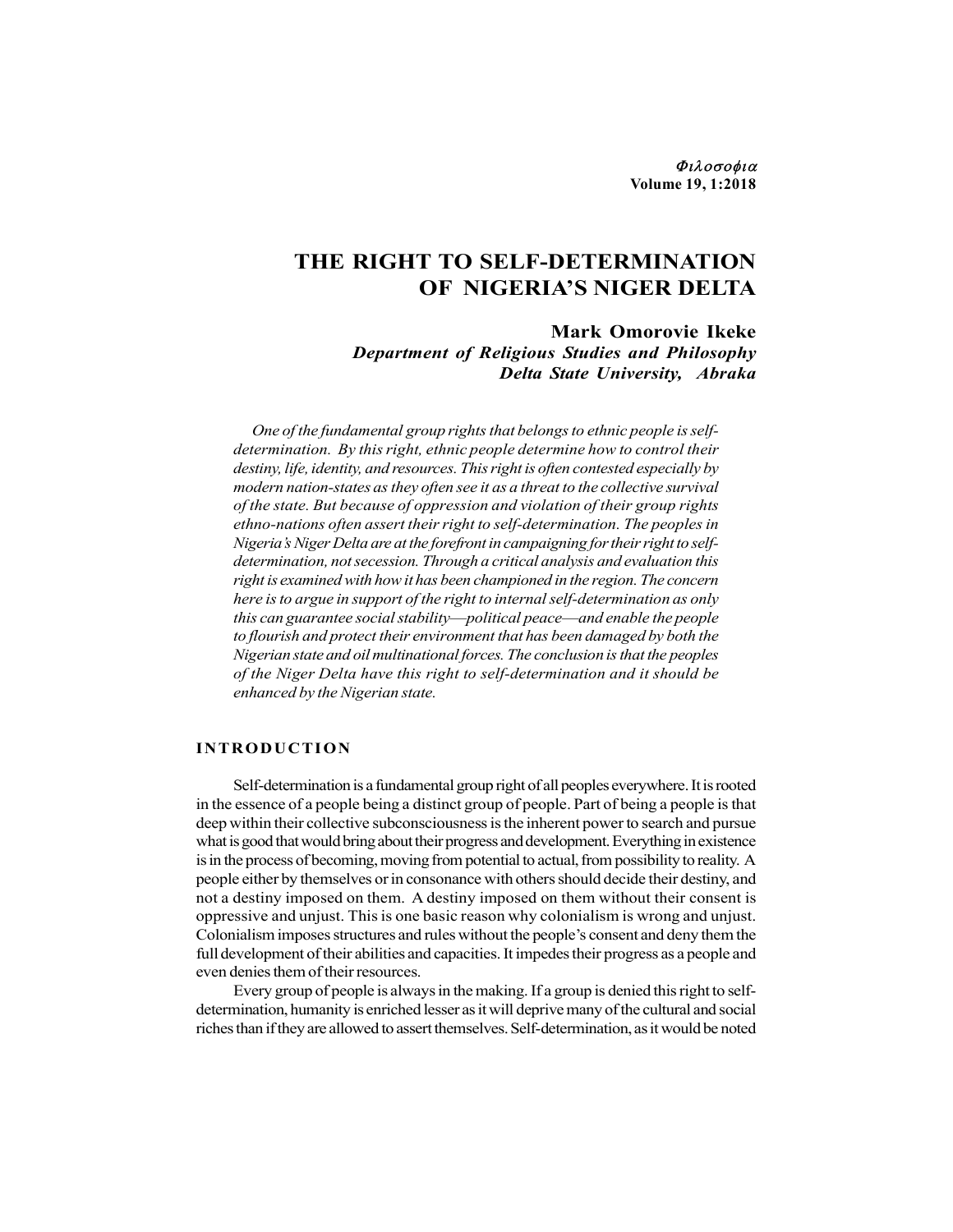Φιλοσοφια Volume 19, 1:2018

# THE RIGHT TO SELF-DETERMINATION OF NIGERIA'S NIGER DELTA

Mark Omorovie Ikeke Department of Religious Studies and Philosophy Delta State University, Abraka

One of the fundamental group rights that belongs to ethnic people is selfdetermination. By this right, ethnic people determine how to control their destiny, life, identity, and resources. This right is often contested especially by modern nation-states as they often see it as a threat to the collective survival of the state. But because of oppression and violation of their group rights ethno-nations often assert their right to self-determination. The peoples in Nigeria's Niger Delta are at the forefront in campaigning for their right to selfdetermination, not secession. Through a critical analysis and evaluation this right is examined with how it has been championed in the region. The concern here is to argue in support of the right to internal self-determination as only this can guarantee social stability—political peace—and enable the people to flourish and protect their environment that has been damaged by both the Nigerian state and oil multinational forces. The conclusion is that the peoples of the Niger Delta have this right to self-determination and it should be enhanced by the Nigerian state. **Department of Religious Studies and Philosophy**<br>**Delta State University, Abraka**<br>**One of the fundamental group rights that belongs to ethnic people is self-**<br>determination. By this right, ethnic people determine how to co

Self-determination is a fundamental group right of all peoples everywhere. It is rooted in the essence of a people being a distinct group of people. Part of being a people is that deep within their collective subconsciousness is the inherent power to search and pursue what is good that would bring about their progress and development. Everything in existence is in the process of becoming, moving from potential to actual, from possibility to reality. A people either by themselves or in consonance with others should decide their destiny, and not a destiny imposed on them. A destiny imposed on them without their consent is oppressive and unjust. This is one basic reason why colonialism is wrong and unjust. Colonialism imposes structures and rules without the people's consent and deny them the full development of their abilities and capacities. It impedes their progress as a people and even denies them of their resources.

Every group of people is always in the making. If a group is denied this right to selfdetermination, humanity is enriched lesser as it will deprive many of the cultural and social riches than if they are allowed to assert themselves. Self-determination, as it would be noted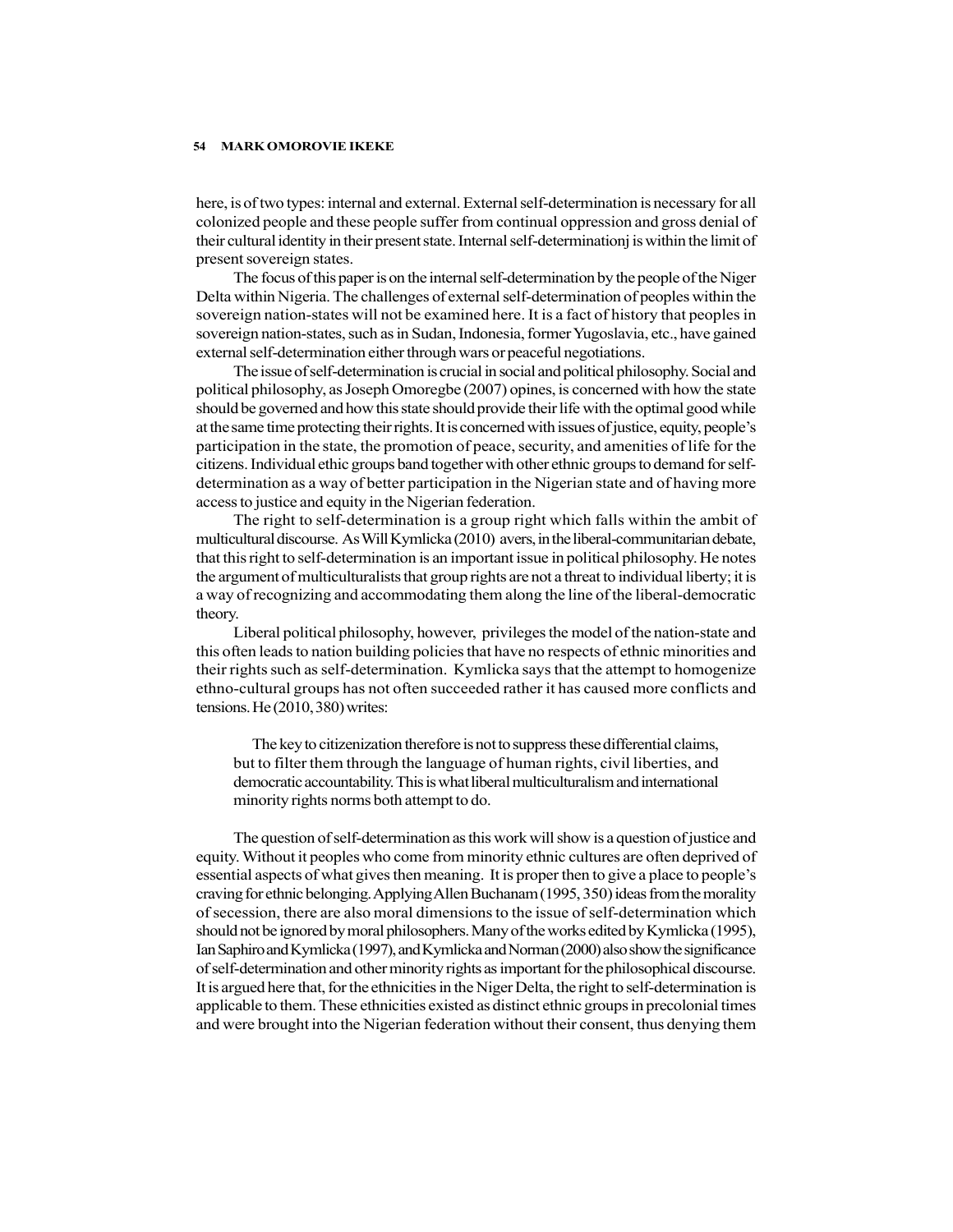here, is of two types: internal and external. External self-determination is necessary for all colonized people and these people suffer from continual oppression and gross denial of their cultural identity in their present state. Internal self-determinationj is within the limit of present sovereign states.

The focus of this paper is on the internal self-determination by the people of the Niger Delta within Nigeria. The challenges of external self-determination of peoples within the sovereign nation-states will not be examined here. It is a fact of history that peoples in sovereign nation-states, such as in Sudan, Indonesia, former Yugoslavia, etc., have gained external self-determination either through wars or peaceful negotiations.

The issue of self-determination is crucial in social and political philosophy. Social and political philosophy, as Joseph Omoregbe (2007) opines, is concerned with how the state should be governed and how this state should provide their life with the optimal good while at the same time protecting their rights. It is concerned with issues of justice, equity, people's participation in the state, the promotion of peace, security, and amenities of life for the citizens. Individual ethic groups band together with other ethnic groups to demand for selfdetermination as a way of better participation in the Nigerian state and of having more access to justice and equity in the Nigerian federation.

The right to self-determination is a group right which falls within the ambit of multicultural discourse. As Will Kymlicka (2010) avers, in the liberal-communitarian debate, that this right to self-determination is an important issue in political philosophy. He notes the argument of multiculturalists that group rights are not a threat to individual liberty; it is a way of recognizing and accommodating them along the line of the liberal-democratic theory.

Liberal political philosophy, however, privileges the model of the nation-state and this often leads to nation building policies that have no respects of ethnic minorities and their rights such as self-determination. Kymlicka says that the attempt to homogenize ethno-cultural groups has not often succeeded rather it has caused more conflicts and tensions. He (2010, 380) writes:

The key to citizenization therefore is not to suppress these differential claims, but to filter them through the language of human rights, civil liberties, and democratic accountability. This is what liberal multiculturalism and international minority rights norms both attempt to do.

The question of self-determination as this work will show is a question of justice and equity. Without it peoples who come from minority ethnic cultures are often deprived of essential aspects of what gives then meaning. It is proper then to give a place to people's craving for ethnic belonging. Applying Allen Buchanam (1995, 350) ideas from the morality of secession, there are also moral dimensions to the issue of self-determination which should not be ignored by moral philosophers. Many of the works edited by Kymlicka (1995), Ian Saphiro and Kymlicka (1997), and Kymlicka and Norman (2000) also show the significance of self-determination and other minority rights as important for the philosophical discourse. It is argued here that, for the ethnicities in the Niger Delta, the right to self-determination is applicable to them. These ethnicities existed as distinct ethnic groups in precolonial times and were brought into the Nigerian federation without their consent, thus denying them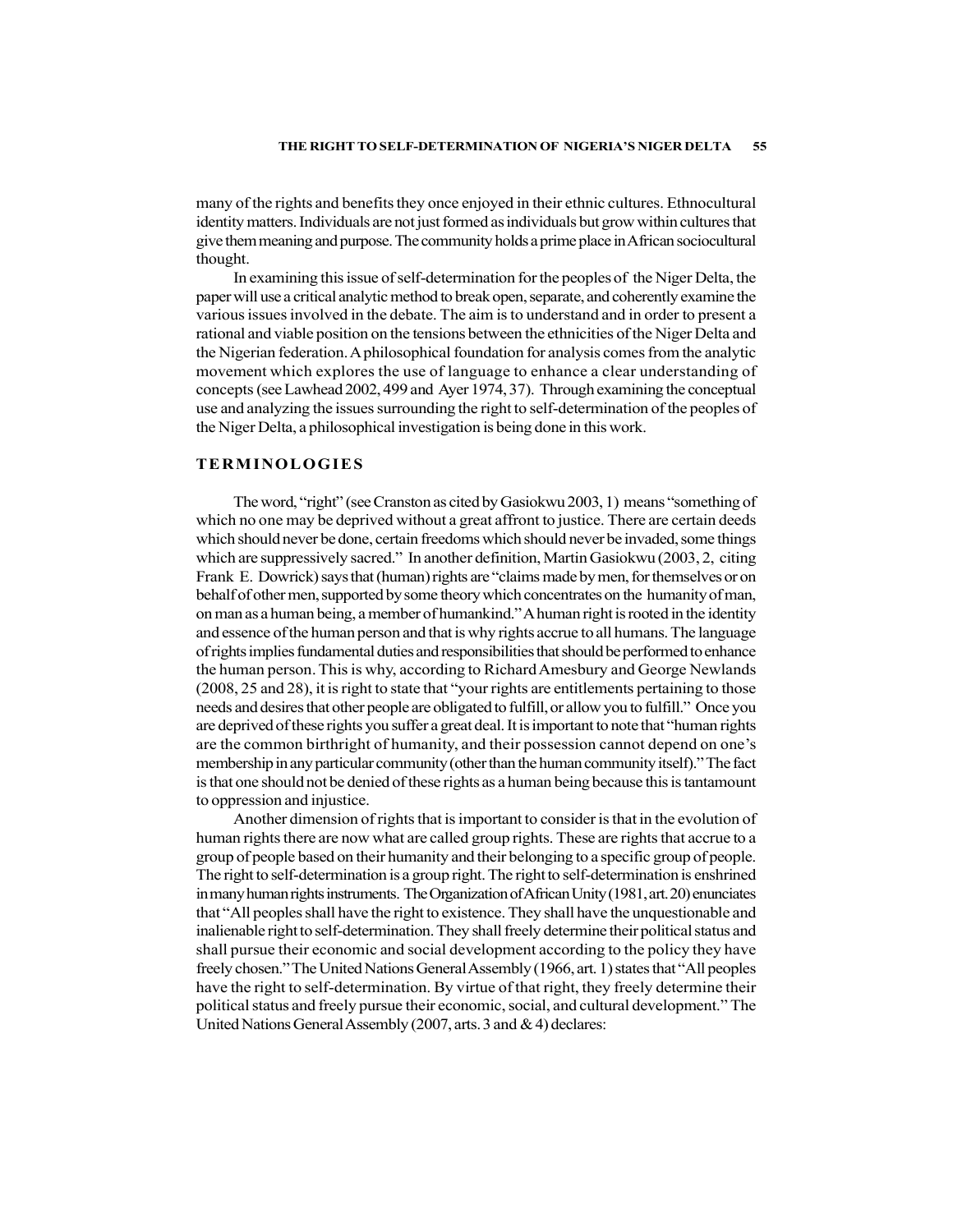many of the rights and benefits they once enjoyed in their ethnic cultures. Ethnocultural identity matters. Individuals are not just formed as individuals but grow within cultures that give them meaning and purpose. The community holds a prime place in African sociocultural thought.

In examining this issue of self-determination for the peoples of the Niger Delta, the paper will use a critical analytic method to break open, separate, and coherently examine the various issues involved in the debate. The aim is to understand and in order to present a rational and viable position on the tensions between the ethnicities of the Niger Delta and the Nigerian federation. A philosophical foundation for analysis comes from the analytic movement which explores the use of language to enhance a clear understanding of concepts (see Lawhead 2002, 499 and Ayer 1974, 37). Through examining the conceptual use and analyzing the issues surrounding the right to self-determination of the peoples of the Niger Delta, a philosophical investigation is being done in this work.

# TERMINOLOGIES

The word, "right" (see Cranston as cited by Gasiokwu 2003, 1) means "something of which no one may be deprived without a great affront to justice. There are certain deeds which should never be done, certain freedoms which should never be invaded, some things which are suppressively sacred." In another definition, Martin Gasiokwu (2003, 2, citing Frank E. Dowrick) says that (human) rights are "claims made by men, for themselves or on behalf of other men, supported by some theory which concentrates on the humanity of man, on man as a human being, a member of humankind." A human right is rooted in the identity and essence of the human person and that is why rights accrue to all humans. The language of rights implies fundamental duties and responsibilities that should be performed to enhance the human person. This is why, according to Richard Amesbury and George Newlands (2008, 25 and 28), it is right to state that "your rights are entitlements pertaining to those needs and desires that other people are obligated to fulfill, or allow you to fulfill." Once you are deprived of these rights you suffer a great deal. It is important to note that "human rights are the common birthright of humanity, and their possession cannot depend on one's membership in any particular community (other than the human community itself)." The fact is that one should not be denied of these rights as a human being because this is tantamount to oppression and injustice.

Another dimension of rights that is important to consider is that in the evolution of human rights there are now what are called group rights. These are rights that accrue to a group of people based on their humanity and their belonging to a specific group of people. The right to self-determination is a group right. The right to self-determination is enshrined in many human rights instruments. The Organization of African Unity (1981, art. 20) enunciates that "All peoples shall have the right to existence. They shall have the unquestionable and inalienable right to self-determination. They shall freely determine their political status and shall pursue their economic and social development according to the policy they have freely chosen." The United Nations General Assembly (1966, art. 1) states that "All peoples have the right to self-determination. By virtue of that right, they freely determine their political status and freely pursue their economic, social, and cultural development." The United Nations General Assembly (2007, arts. 3 and & 4) declares: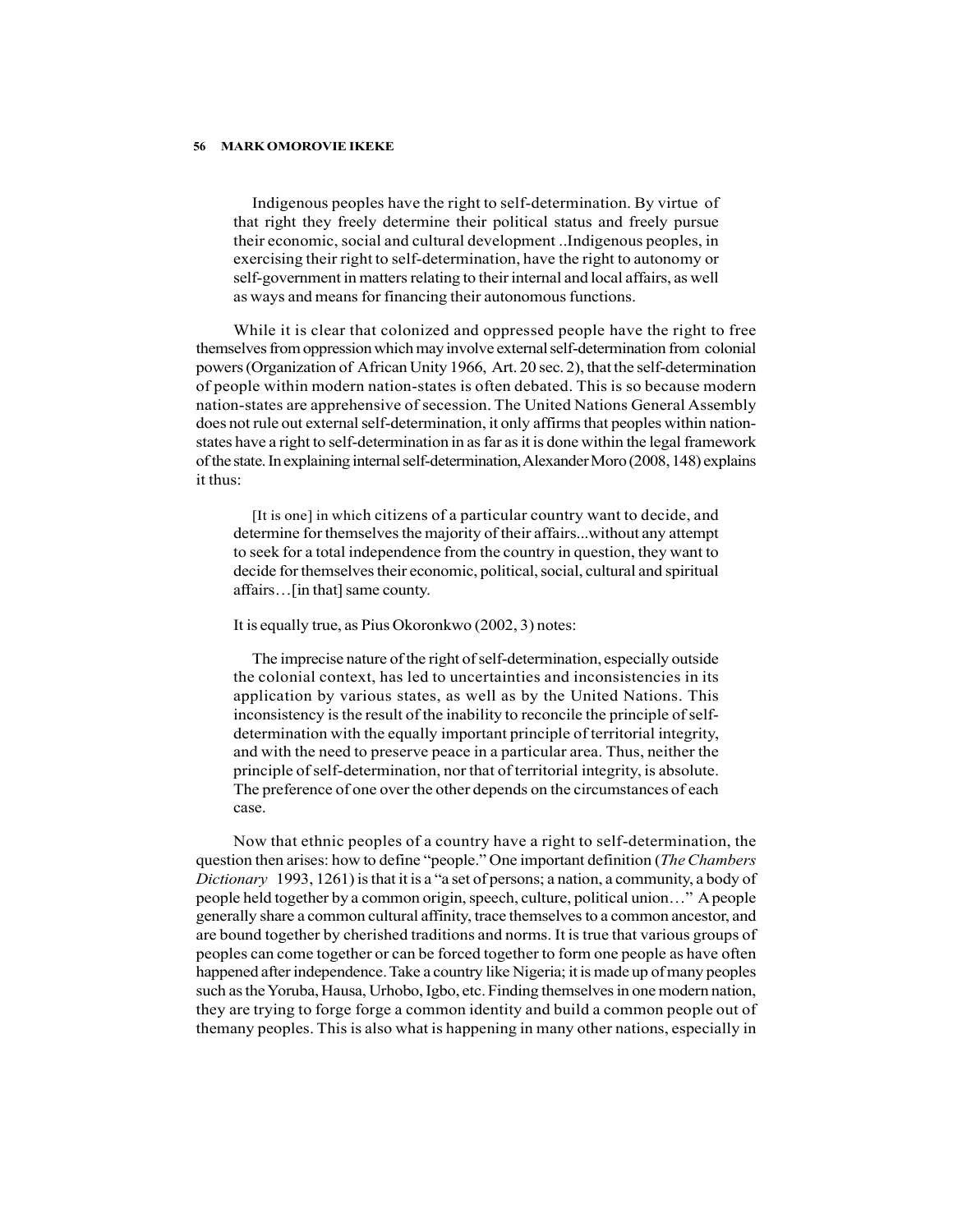Indigenous peoples have the right to self-determination. By virtue of that right they freely determine their political status and freely pursue their economic, social and cultural development ..Indigenous peoples, in exercising their right to self-determination, have the right to autonomy or self-government in matters relating to their internal and local affairs, as well as ways and means for financing their autonomous functions.

While it is clear that colonized and oppressed people have the right to free themselves from oppression which may involve external self-determination from colonial powers (Organization of African Unity 1966, Art. 20 sec. 2), that the self-determination of people within modern nation-states is often debated. This is so because modern nation-states are apprehensive of secession. The United Nations General Assembly does not rule out external self-determination, it only affirms that peoples within nationstates have a right to self-determination in as far as it is done within the legal framework of the state. In explaining internal self-determination, Alexander Moro (2008, 148) explains it thus:

[It is one] in which citizens of a particular country want to decide, and determine for themselves the majority of their affairs...without any attempt to seek for a total independence from the country in question, they want to decide for themselves their economic, political, social, cultural and spiritual affairs…[in that] same county.

# It is equally true, as Pius Okoronkwo (2002, 3) notes:

The imprecise nature of the right of self-determination, especially outside the colonial context, has led to uncertainties and inconsistencies in its application by various states, as well as by the United Nations. This inconsistency is the result of the inability to reconcile the principle of selfdetermination with the equally important principle of territorial integrity, and with the need to preserve peace in a particular area. Thus, neither the principle of self-determination, nor that of territorial integrity, is absolute. The preference of one over the other depends on the circumstances of each case.

Now that ethnic peoples of a country have a right to self-determination, the question then arises: how to define "people." One important definition (The Chambers Dictionary 1993, 1261) is that it is a "a set of persons; a nation, a community, a body of people held together by a common origin, speech, culture, political union…" A people generally share a common cultural affinity, trace themselves to a common ancestor, and are bound together by cherished traditions and norms. It is true that various groups of peoples can come together or can be forced together to form one people as have often happened after independence. Take a country like Nigeria; it is made up of many peoples such as the Yoruba, Hausa, Urhobo, Igbo, etc. Finding themselves in one modern nation, they are trying to forge forge a common identity and build a common people out of themany peoples. This is also what is happening in many other nations, especially in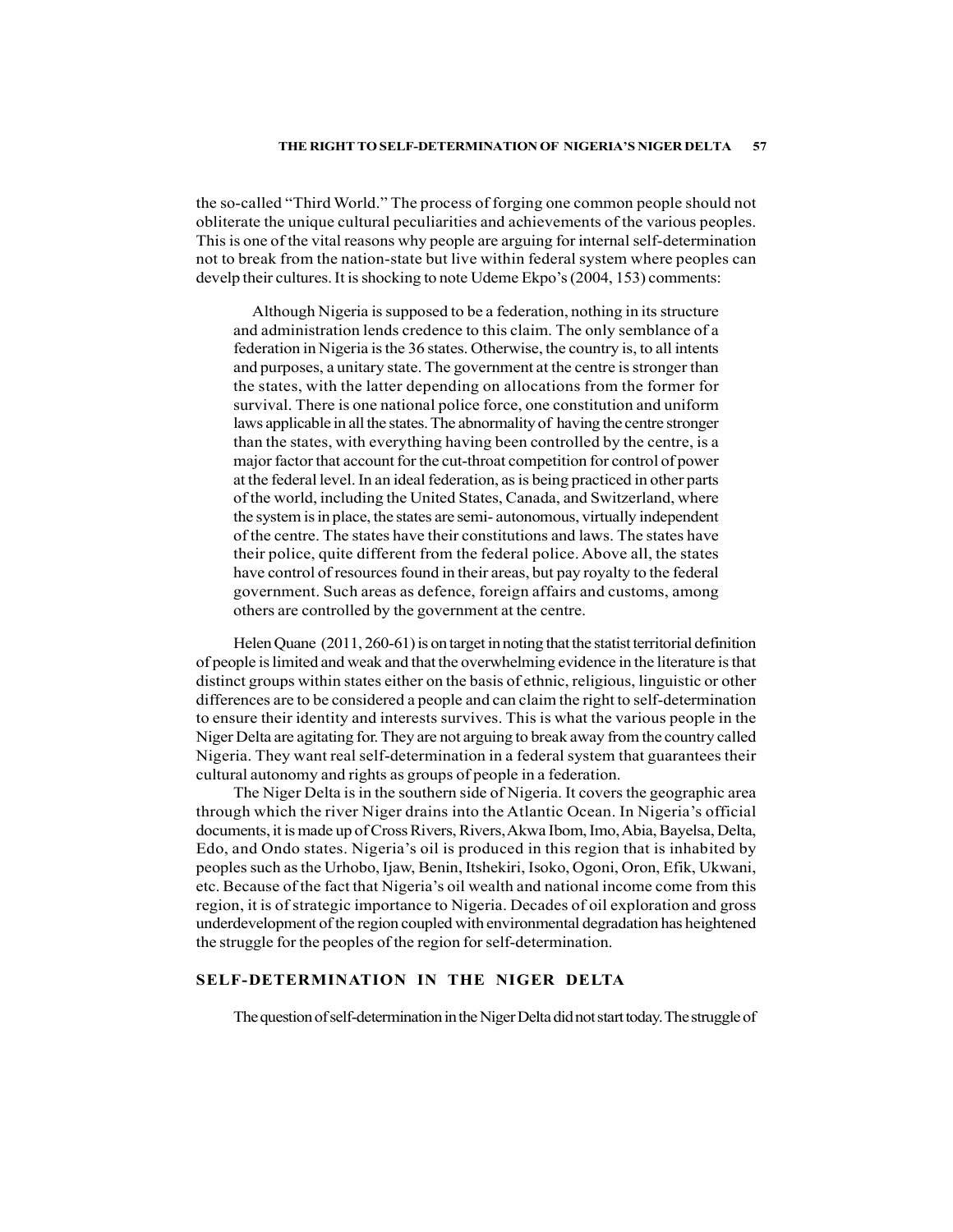# THE RIGHT TO SELF-DETERMINATION OF NIGERIA'S NIGER DELTA 57

the so-called "Third World." The process of forging one common people should not obliterate the unique cultural peculiarities and achievements of the various peoples. This is one of the vital reasons why people are arguing for internal self-determination not to break from the nation-state but live within federal system where peoples can develp their cultures. It is shocking to note Udeme Ekpo's (2004, 153) comments:

Although Nigeria is supposed to be a federation, nothing in its structure and administration lends credence to this claim. The only semblance of a federation in Nigeria is the 36 states. Otherwise, the country is, to all intents and purposes, a unitary state. The government at the centre is stronger than the states, with the latter depending on allocations from the former for survival. There is one national police force, one constitution and uniform laws applicable in all the states. The abnormality of having the centre stronger than the states, with everything having been controlled by the centre, is a major factor that account for the cut-throat competition for control of power at the federal level. In an ideal federation, as is being practiced in other parts of the world, including the United States, Canada, and Switzerland, where the system is in place, the states are semi- autonomous, virtually independent of the centre. The states have their constitutions and laws. The states have their police, quite different from the federal police. Above all, the states have control of resources found in their areas, but pay royalty to the federal government. Such areas as defence, foreign affairs and customs, among others are controlled by the government at the centre.

Helen Quane (2011, 260-61) is on target in noting that the statist territorial definition of people is limited and weak and that the overwhelming evidence in the literature is that distinct groups within states either on the basis of ethnic, religious, linguistic or other differences are to be considered a people and can claim the right to self-determination to ensure their identity and interests survives. This is what the various people in the Niger Delta are agitating for. They are not arguing to break away from the country called Nigeria. They want real self-determination in a federal system that guarantees their cultural autonomy and rights as groups of people in a federation.

The Niger Delta is in the southern side of Nigeria. It covers the geographic area through which the river Niger drains into the Atlantic Ocean. In Nigeria's official documents, it is made up of Cross Rivers, Rivers, Akwa Ibom, Imo, Abia, Bayelsa, Delta, Edo, and Ondo states. Nigeria's oil is produced in this region that is inhabited by peoples such as the Urhobo, Ijaw, Benin, Itshekiri, Isoko, Ogoni, Oron, Efik, Ukwani, etc. Because of the fact that Nigeria's oil wealth and national income come from this region, it is of strategic importance to Nigeria. Decades of oil exploration and gross underdevelopment of the region coupled with environmental degradation has heightened the struggle for the peoples of the region for self-determination.

# SELF-DETERMINATION IN THE NIGER DELTA

The question of self-determination in the Niger Delta did not start today. The struggle of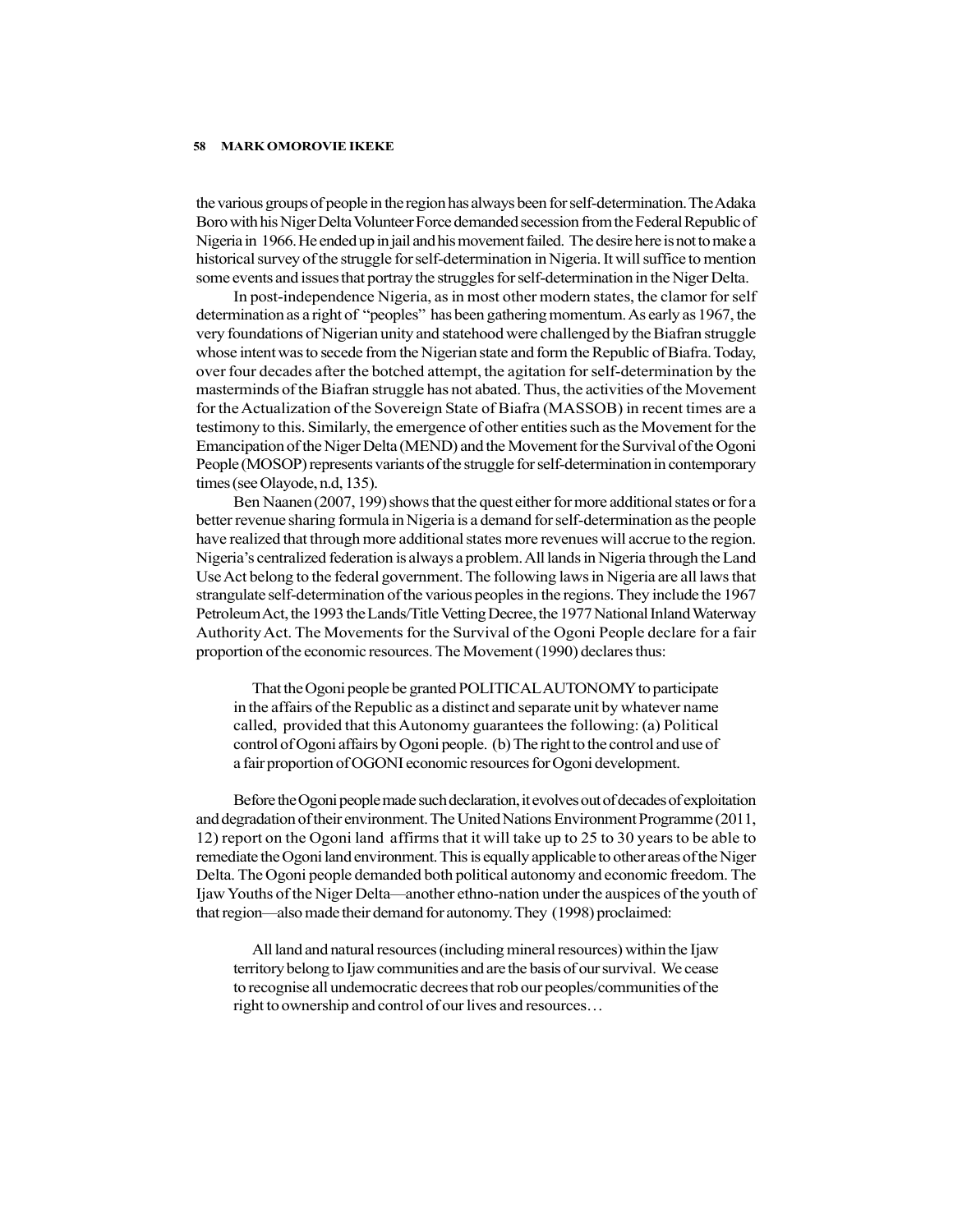the various groups of people in the region has always been for self-determination. The Adaka Boro with his Niger Delta Volunteer Force demanded secession from the Federal Republic of Nigeria in 1966. He ended up in jail and his movement failed. The desire here is not to make a historical survey of the struggle for self-determination in Nigeria. It will suffice to mention some events and issues that portray the struggles for self-determination in the Niger Delta.

In post-independence Nigeria, as in most other modern states, the clamor for self determination as a right of "peoples" has been gathering momentum. As early as 1967, the very foundations of Nigerian unity and statehood were challenged by the Biafran struggle whose intent was to secede from the Nigerian state and form the Republic of Biafra. Today, over four decades after the botched attempt, the agitation for self-determination by the masterminds of the Biafran struggle has not abated. Thus, the activities of the Movement for the Actualization of the Sovereign State of Biafra (MASSOB) in recent times are a testimony to this. Similarly, the emergence of other entities such as the Movement for the Emancipation of the Niger Delta (MEND) and the Movement for the Survival of the Ogoni People (MOSOP) represents variants of the struggle for self-determination in contemporary times (see Olayode, n.d, 135).

Ben Naanen (2007, 199) shows that the quest either for more additional states or for a better revenue sharing formula in Nigeria is a demand for self-determination as the people have realized that through more additional states more revenues will accrue to the region. Nigeria's centralized federation is always a problem. All lands in Nigeria through the Land Use Act belong to the federal government. The following laws in Nigeria are all laws that strangulate self-determination of the various peoples in the regions. They include the 1967 Petroleum Act, the 1993 the Lands/Title Vetting Decree, the 1977 National Inland Waterway Authority Act. The Movements for the Survival of the Ogoni People declare for a fair proportion of the economic resources. The Movement (1990) declares thus:

That the Ogoni people be granted POLITICAL AUTONOMY to participate in the affairs of the Republic as a distinct and separate unit by whatever name called, provided that this Autonomy guarantees the following: (a) Political control of Ogoni affairs by Ogoni people. (b) The right to the control and use of a fair proportion of OGONI economic resources for Ogoni development.

Before the Ogoni people made such declaration, it evolves out of decades of exploitation and degradation of their environment. The United Nations Environment Programme (2011, 12) report on the Ogoni land affirms that it will take up to 25 to 30 years to be able to remediate the Ogoni land environment. This is equally applicable to other areas of the Niger Delta. The Ogoni people demanded both political autonomy and economic freedom. The Ijaw Youths of the Niger Delta—another ethno-nation under the auspices of the youth of that region—also made their demand for autonomy. They (1998) proclaimed:

All land and natural resources (including mineral resources) within the Ijaw territory belong to Ijaw communities and are the basis of our survival. We cease to recognise all undemocratic decrees that rob our peoples/communities of the right to ownership and control of our lives and resources…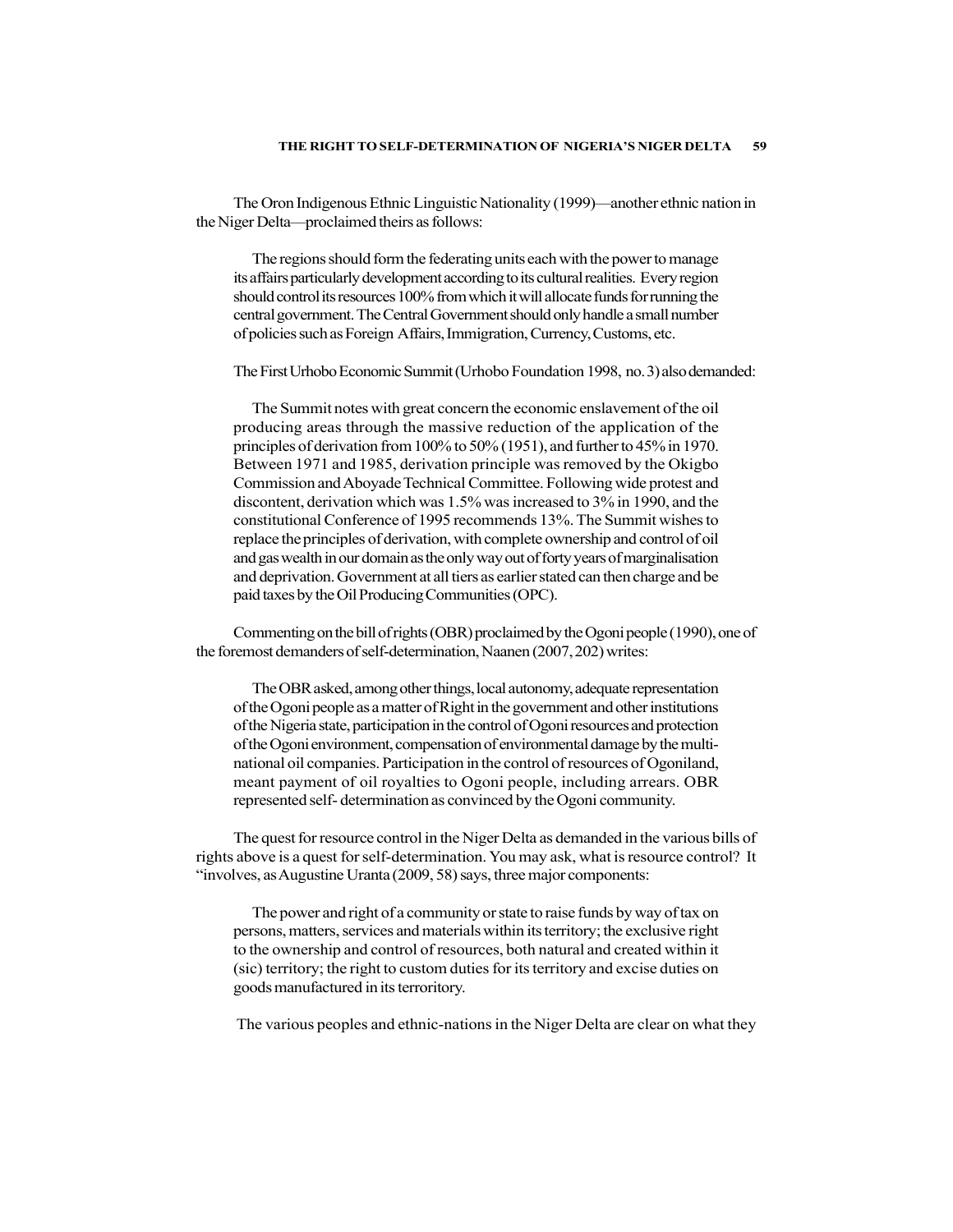The Oron Indigenous Ethnic Linguistic Nationality (1999)—another ethnic nation in the Niger Delta—proclaimed theirs as follows:

The regions should form the federating units each with the power to manage its affairs particularly development according to its cultural realities. Every region should control its resources 100% from which it will allocate funds for running the central government. The Central Government should only handle a small number of policies such as Foreign Affairs, Immigration, Currency, Customs, etc.

The First Urhobo Economic Summit (Urhobo Foundation 1998, no. 3) also demanded:

The Summit notes with great concern the economic enslavement of the oil producing areas through the massive reduction of the application of the principles of derivation from 100% to 50% (1951), and further to 45% in 1970. Between 1971 and 1985, derivation principle was removed by the Okigbo Commission and Aboyade Technical Committee. Following wide protest and discontent, derivation which was 1.5% was increased to 3% in 1990, and the constitutional Conference of 1995 recommends 13%. The Summit wishes to replace the principles of derivation, with complete ownership and control of oil and gas wealth in our domain as the only way out of forty years of marginalisation and deprivation. Government at all tiers as earlier stated can then charge and be paid taxes by the Oil Producing Communities (OPC).

Commenting on the bill of rights (OBR) proclaimed by the Ogoni people (1990), one of the foremost demanders of self-determination, Naanen (2007, 202) writes:

The OBR asked, among other things, local autonomy, adequate representation of the Ogoni people as a matter of Right in the government and other institutions of the Nigeria state, participation in the control of Ogoni resources and protection of the Ogoni environment, compensation of environmental damage by the multinational oil companies. Participation in the control of resources of Ogoniland, meant payment of oil royalties to Ogoni people, including arrears. OBR represented self- determination as convinced by the Ogoni community.

The quest for resource control in the Niger Delta as demanded in the various bills of rights above is a quest for self-determination. You may ask, what is resource control? It "involves, as Augustine Uranta (2009, 58) says, three major components:

The power and right of a community or state to raise funds by way of tax on persons, matters, services and materials within its territory; the exclusive right to the ownership and control of resources, both natural and created within it (sic) territory; the right to custom duties for its territory and excise duties on goods manufactured in its terroritory.

The various peoples and ethnic-nations in the Niger Delta are clear on what they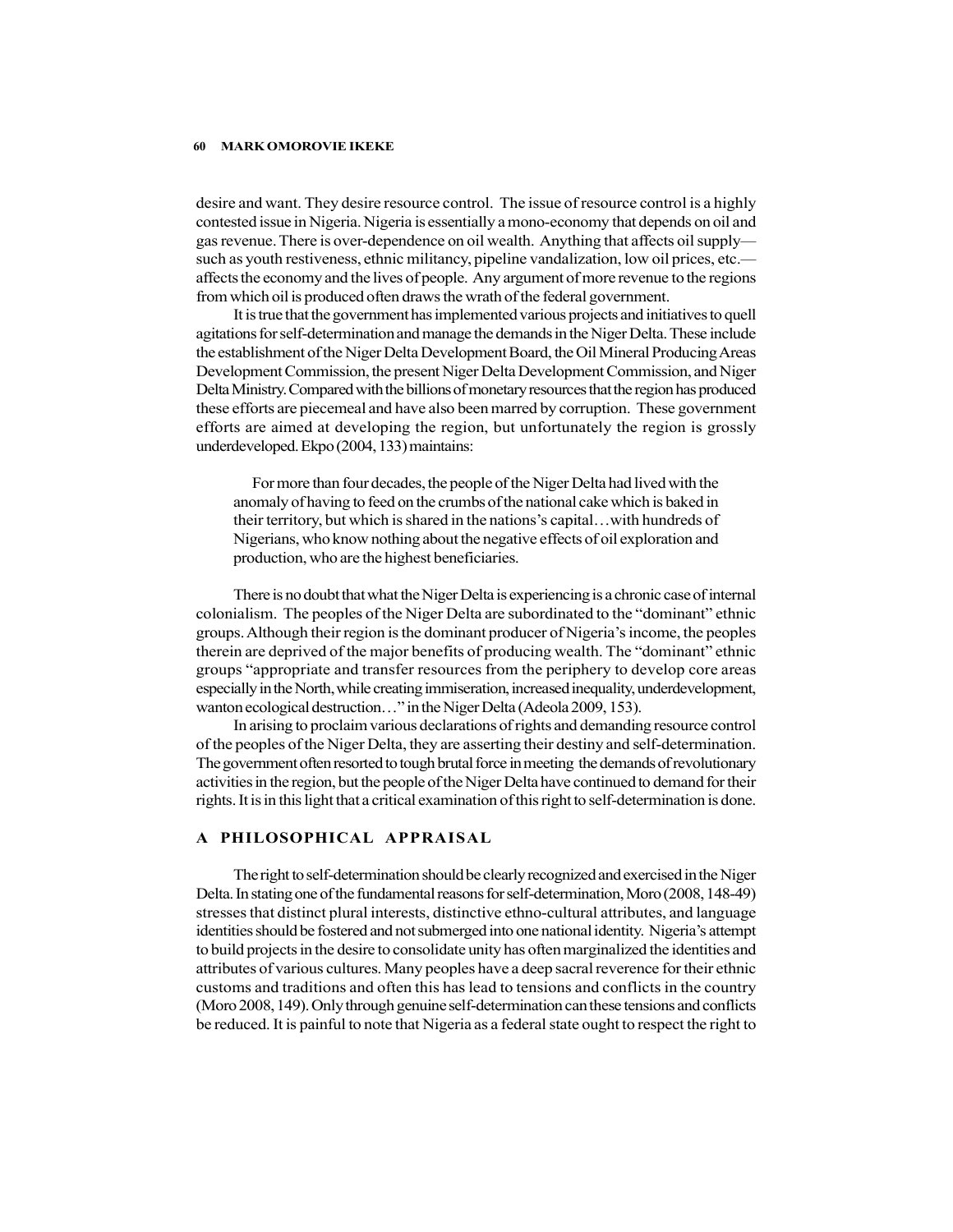desire and want. They desire resource control. The issue of resource control is a highly contested issue in Nigeria. Nigeria is essentially a mono-economy that depends on oil and gas revenue. There is over-dependence on oil wealth. Anything that affects oil supply such as youth restiveness, ethnic militancy, pipeline vandalization, low oil prices, etc. affects the economy and the lives of people. Any argument of more revenue to the regions from which oil is produced often draws the wrath of the federal government.

It is true that the government has implemented various projects and initiatives to quell agitations for self-determination and manage the demands in the Niger Delta. These include the establishment of the Niger Delta Development Board, the Oil Mineral Producing Areas Development Commission, the present Niger Delta Development Commission, and Niger Delta Ministry. Compared with the billions of monetary resources that the region has produced these efforts are piecemeal and have also been marred by corruption. These government efforts are aimed at developing the region, but unfortunately the region is grossly underdeveloped. Ekpo (2004, 133) maintains:

For more than four decades, the people of the Niger Delta had lived with the anomaly of having to feed on the crumbs of the national cake which is baked in their territory, but which is shared in the nations's capital…with hundreds of Nigerians, who know nothing about the negative effects of oil exploration and production, who are the highest beneficiaries.

There is no doubt that what the Niger Delta is experiencing is a chronic case of internal colonialism. The peoples of the Niger Delta are subordinated to the "dominant" ethnic groups. Although their region is the dominant producer of Nigeria's income, the peoples therein are deprived of the major benefits of producing wealth. The "dominant" ethnic groups "appropriate and transfer resources from the periphery to develop core areas especially in the North, while creating immiseration, increased inequality, underdevelopment, wanton ecological destruction…" in the Niger Delta (Adeola 2009, 153).

In arising to proclaim various declarations of rights and demanding resource control of the peoples of the Niger Delta, they are asserting their destiny and self-determination. The government often resorted to tough brutal force in meeting the demands of revolutionary activities in the region, but the people of the Niger Delta have continued to demand for their rights. It is in this light that a critical examination of this right to self-determination is done.

# A PHILOSOPHICAL APPRAISAL

The right to self-determination should be clearly recognized and exercised in the Niger Delta. In stating one of the fundamental reasons for self-determination, Moro (2008, 148-49) stresses that distinct plural interests, distinctive ethno-cultural attributes, and language identities should be fostered and not submerged into one national identity. Nigeria's attempt to build projects in the desire to consolidate unity has often marginalized the identities and attributes of various cultures. Many peoples have a deep sacral reverence for their ethnic customs and traditions and often this has lead to tensions and conflicts in the country (Moro 2008, 149). Only through genuine self-determination can these tensions and conflicts be reduced. It is painful to note that Nigeria as a federal state ought to respect the right to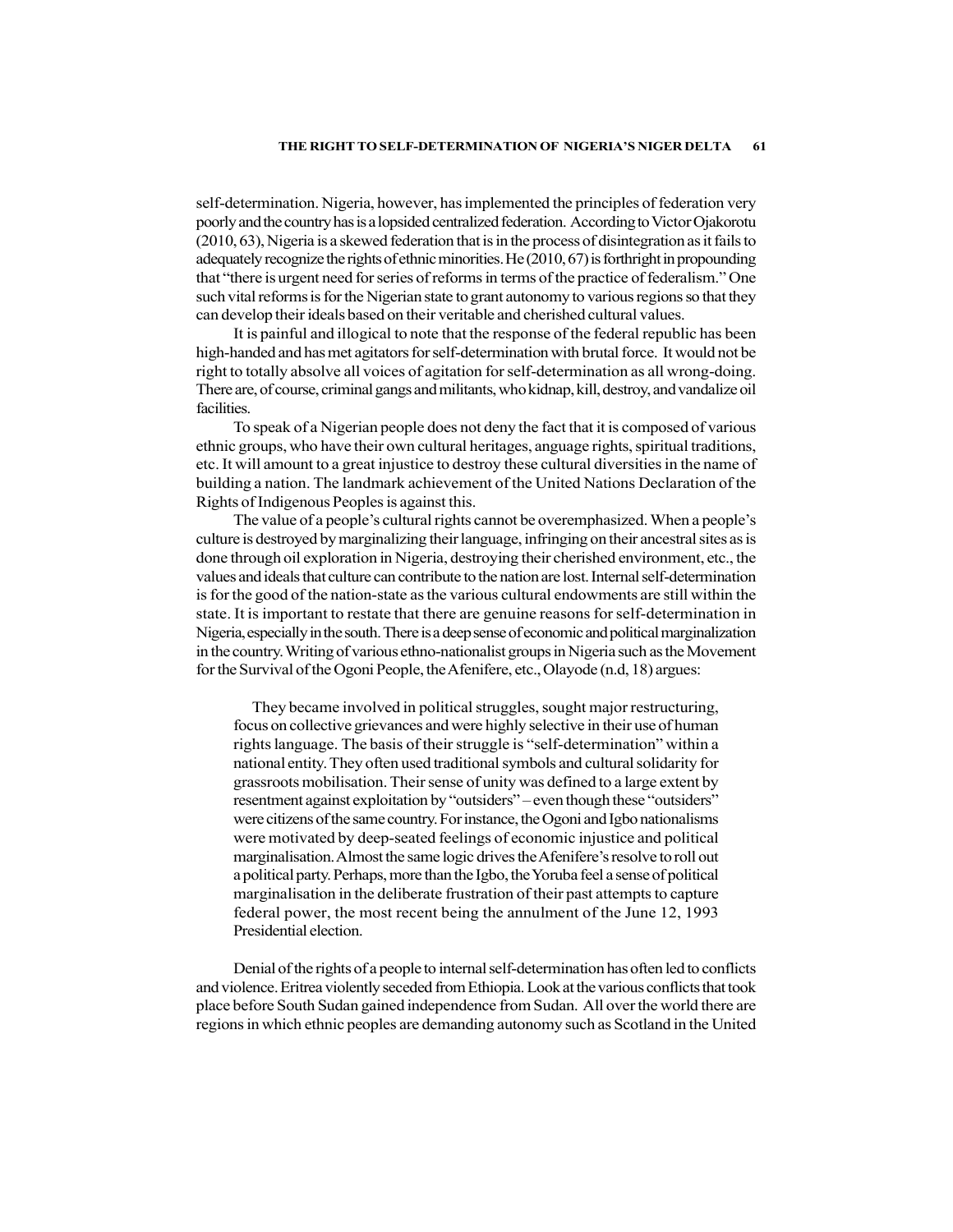### THE RIGHT TO SELF-DETERMINATION OF NIGERIA'S NIGER DELTA 61

self-determination. Nigeria, however, has implemented the principles of federation very poorly and the country has is a lopsided centralized federation. According to Victor Ojakorotu (2010, 63), Nigeria is a skewed federation that is in the process of disintegration as it fails to adequately recognize the rights of ethnic minorities. He (2010, 67) is forthright in propounding that "there is urgent need for series of reforms in terms of the practice of federalism." One such vital reforms is for the Nigerian state to grant autonomy to various regions so that they can develop their ideals based on their veritable and cherished cultural values.

It is painful and illogical to note that the response of the federal republic has been high-handed and has met agitators for self-determination with brutal force. It would not be right to totally absolve all voices of agitation for self-determination as all wrong-doing. There are, of course, criminal gangs and militants, who kidnap, kill, destroy, and vandalize oil facilities.

To speak of a Nigerian people does not deny the fact that it is composed of various ethnic groups, who have their own cultural heritages, anguage rights, spiritual traditions, etc. It will amount to a great injustice to destroy these cultural diversities in the name of building a nation. The landmark achievement of the United Nations Declaration of the Rights of Indigenous Peoples is against this.

The value of a people's cultural rights cannot be overemphasized. When a people's culture is destroyed by marginalizing their language, infringing on their ancestral sites as is done through oil exploration in Nigeria, destroying their cherished environment, etc., the values and ideals that culture can contribute to the nation are lost. Internal self-determination is for the good of the nation-state as the various cultural endowments are still within the state. It is important to restate that there are genuine reasons for self-determination in Nigeria, especially in the south. There is a deep sense of economic and political marginalization in the country. Writing of various ethno-nationalist groups in Nigeria such as the Movement for the Survival of the Ogoni People, the Afenifere, etc., Olayode (n.d, 18) argues:

They became involved in political struggles, sought major restructuring, focus on collective grievances and were highly selective in their use of human rights language. The basis of their struggle is "self-determination" within a national entity. They often used traditional symbols and cultural solidarity for grassroots mobilisation. Their sense of unity was defined to a large extent by resentment against exploitation by "outsiders" – even though these "outsiders" were citizens of the same country. For instance, the Ogoni and Igbo nationalisms were motivated by deep-seated feelings of economic injustice and political marginalisation. Almost the same logic drives the Afenifere's resolve to roll out a political party. Perhaps, more than the Igbo, the Yoruba feel a sense of political marginalisation in the deliberate frustration of their past attempts to capture federal power, the most recent being the annulment of the June 12, 1993 Presidential election.

Denial of the rights of a people to internal self-determination has often led to conflicts and violence. Eritrea violently seceded from Ethiopia. Look at the various conflicts that took place before South Sudan gained independence from Sudan. All over the world there are regions in which ethnic peoples are demanding autonomy such as Scotland in the United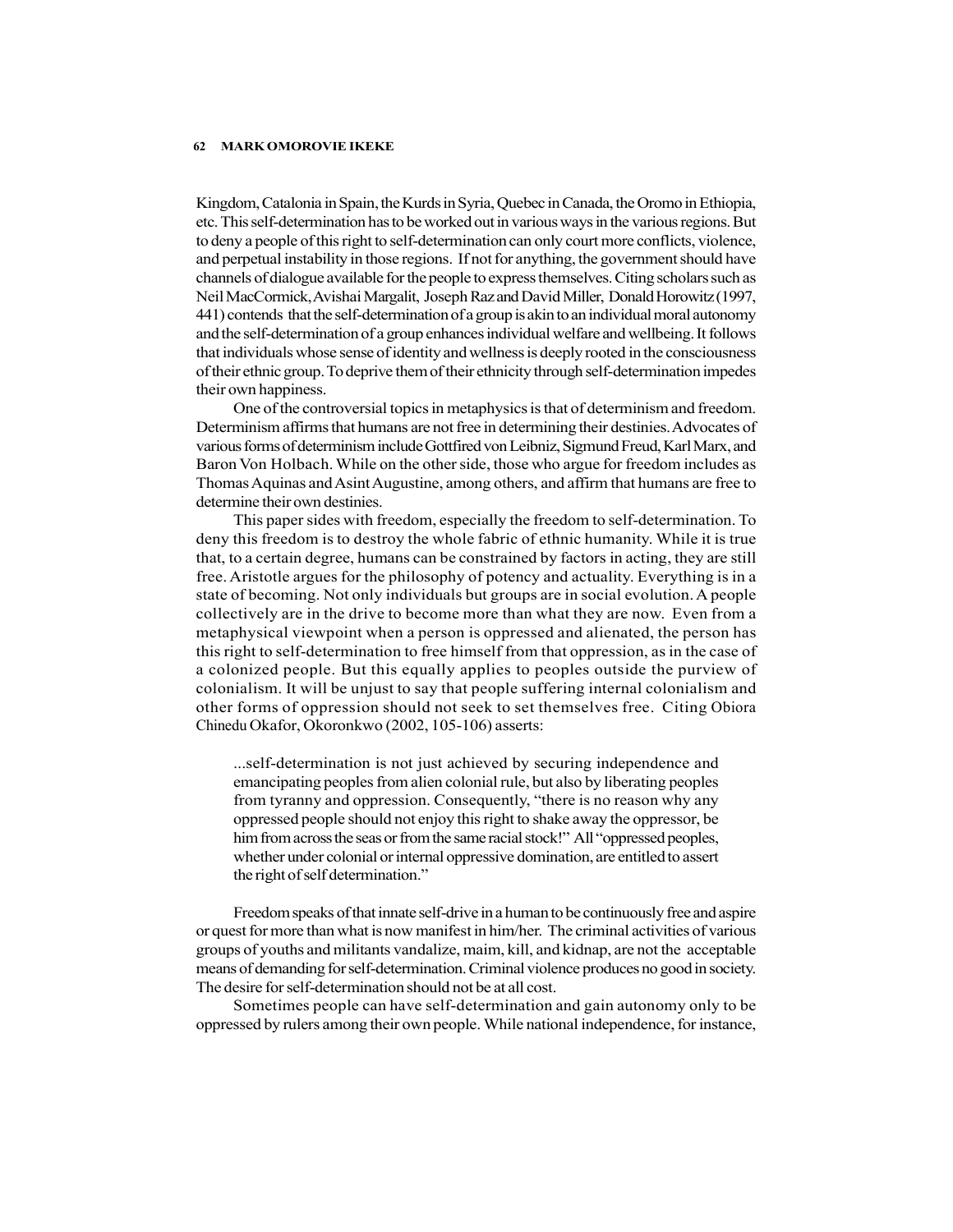Kingdom, Catalonia in Spain, the Kurds in Syria, Quebec in Canada, the Oromo in Ethiopia, etc. This self-determination has to be worked out in various ways in the various regions. But to deny a people of this right to self-determination can only court more conflicts, violence, and perpetual instability in those regions. If not for anything, the government should have channels of dialogue available for the people to express themselves. Citing scholars such as Neil MacCormick, Avishai Margalit, Joseph Raz and David Miller, Donald Horowitz (1997, 441) contends that the self-determination of a group is akin to an individual moral autonomy and the self-determination of a group enhances individual welfare and wellbeing. It follows that individuals whose sense of identity and wellness is deeply rooted in the consciousness of their ethnic group. To deprive them of their ethnicity through self-determination impedes their own happiness.

One of the controversial topics in metaphysics is that of determinism and freedom. Determinism affirms that humans are not free in determining their destinies. Advocates of various forms of determinism include Gottfired von Leibniz, Sigmund Freud, Karl Marx, and Baron Von Holbach. While on the other side, those who argue for freedom includes as Thomas Aquinas and Asint Augustine, among others, and affirm that humans are free to determine their own destinies.

This paper sides with freedom, especially the freedom to self-determination. To deny this freedom is to destroy the whole fabric of ethnic humanity. While it is true that, to a certain degree, humans can be constrained by factors in acting, they are still free. Aristotle argues for the philosophy of potency and actuality. Everything is in a state of becoming. Not only individuals but groups are in social evolution. A people collectively are in the drive to become more than what they are now. Even from a metaphysical viewpoint when a person is oppressed and alienated, the person has this right to self-determination to free himself from that oppression, as in the case of a colonized people. But this equally applies to peoples outside the purview of colonialism. It will be unjust to say that people suffering internal colonialism and other forms of oppression should not seek to set themselves free. Citing Obiora Chinedu Okafor, Okoronkwo (2002, 105-106) asserts:

...self-determination is not just achieved by securing independence and emancipating peoples from alien colonial rule, but also by liberating peoples from tyranny and oppression. Consequently, "there is no reason why any oppressed people should not enjoy this right to shake away the oppressor, be him from across the seas or from the same racial stock!" All "oppressed peoples, whether under colonial or internal oppressive domination, are entitled to assert the right of self determination."

Freedom speaks of that innate self-drive in a human to be continuously free and aspire or quest for more than what is now manifest in him/her. The criminal activities of various groups of youths and militants vandalize, maim, kill, and kidnap, are not the acceptable means of demanding for self-determination. Criminal violence produces no good in society. The desire for self-determination should not be at all cost.

Sometimes people can have self-determination and gain autonomy only to be oppressed by rulers among their own people. While national independence, for instance,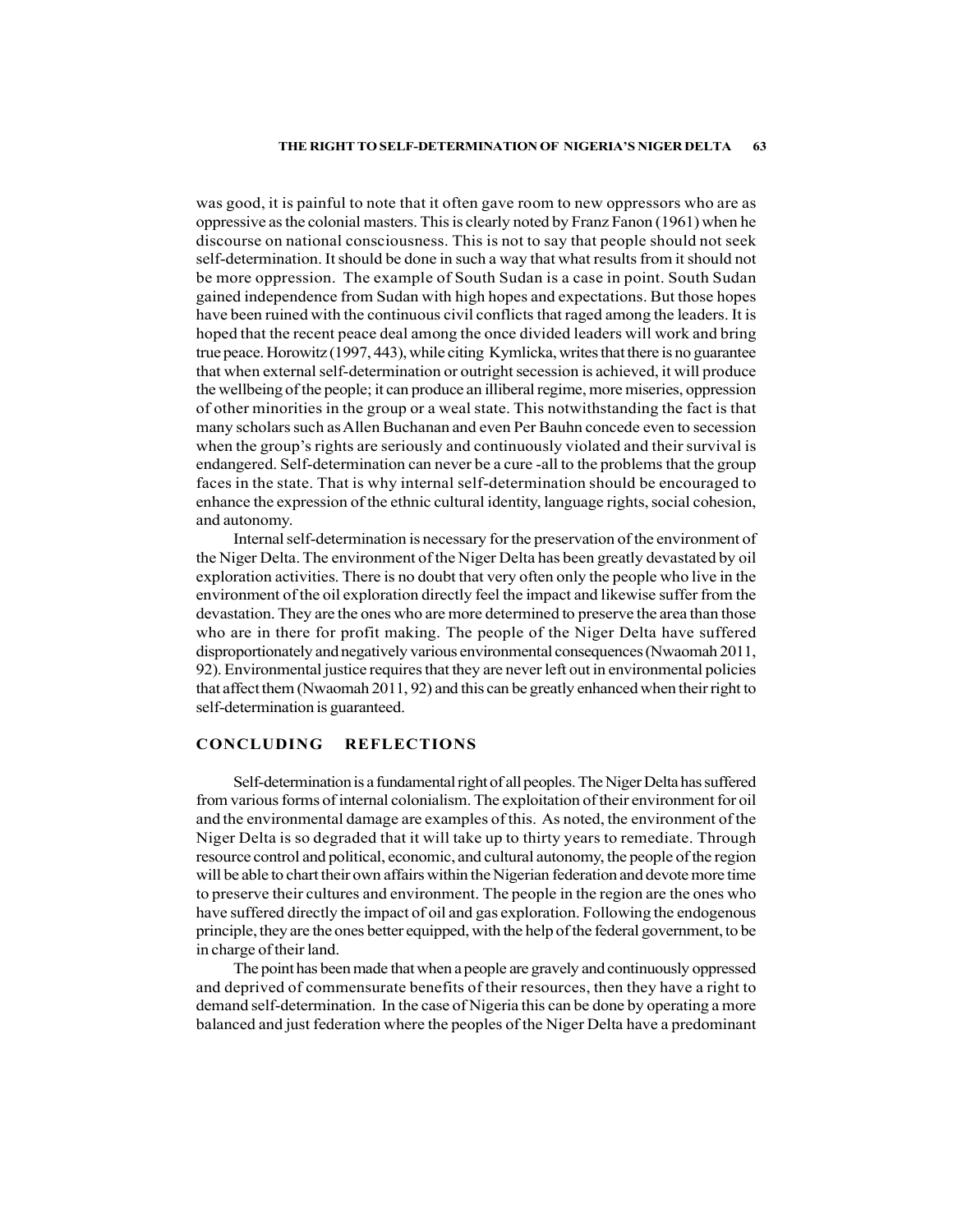# THE RIGHT TO SELF-DETERMINATION OF NIGERIA'S NIGER DELTA 63

was good, it is painful to note that it often gave room to new oppressors who are as oppressive as the colonial masters. This is clearly noted by Franz Fanon (1961) when he discourse on national consciousness. This is not to say that people should not seek self-determination. It should be done in such a way that what results from it should not be more oppression. The example of South Sudan is a case in point. South Sudan gained independence from Sudan with high hopes and expectations. But those hopes have been ruined with the continuous civil conflicts that raged among the leaders. It is hoped that the recent peace deal among the once divided leaders will work and bring true peace. Horowitz (1997, 443), while citing Kymlicka, writes that there is no guarantee that when external self-determination or outright secession is achieved, it will produce the wellbeing of the people; it can produce an illiberal regime, more miseries, oppression of other minorities in the group or a weal state. This notwithstanding the fact is that many scholars such as Allen Buchanan and even Per Bauhn concede even to secession when the group's rights are seriously and continuously violated and their survival is endangered. Self-determination can never be a cure -all to the problems that the group faces in the state. That is why internal self-determination should be encouraged to enhance the expression of the ethnic cultural identity, language rights, social cohesion, and autonomy.

Internal self-determination is necessary for the preservation of the environment of the Niger Delta. The environment of the Niger Delta has been greatly devastated by oil exploration activities. There is no doubt that very often only the people who live in the environment of the oil exploration directly feel the impact and likewise suffer from the devastation. They are the ones who are more determined to preserve the area than those who are in there for profit making. The people of the Niger Delta have suffered disproportionately and negatively various environmental consequences (Nwaomah 2011, 92). Environmental justice requires that they are never left out in environmental policies that affect them (Nwaomah 2011, 92) and this can be greatly enhanced when their right to self-determination is guaranteed.

# CONCLUDING REFLECTIONS

Self-determination is a fundamental right of all peoples. The Niger Delta has suffered from various forms of internal colonialism. The exploitation of their environment for oil and the environmental damage are examples of this. As noted, the environment of the Niger Delta is so degraded that it will take up to thirty years to remediate. Through resource control and political, economic, and cultural autonomy, the people of the region will be able to chart their own affairs within the Nigerian federation and devote more time to preserve their cultures and environment. The people in the region are the ones who have suffered directly the impact of oil and gas exploration. Following the endogenous principle, they are the ones better equipped, with the help of the federal government, to be in charge of their land.

The point has been made that when a people are gravely and continuously oppressed and deprived of commensurate benefits of their resources, then they have a right to demand self-determination. In the case of Nigeria this can be done by operating a more balanced and just federation where the peoples of the Niger Delta have a predominant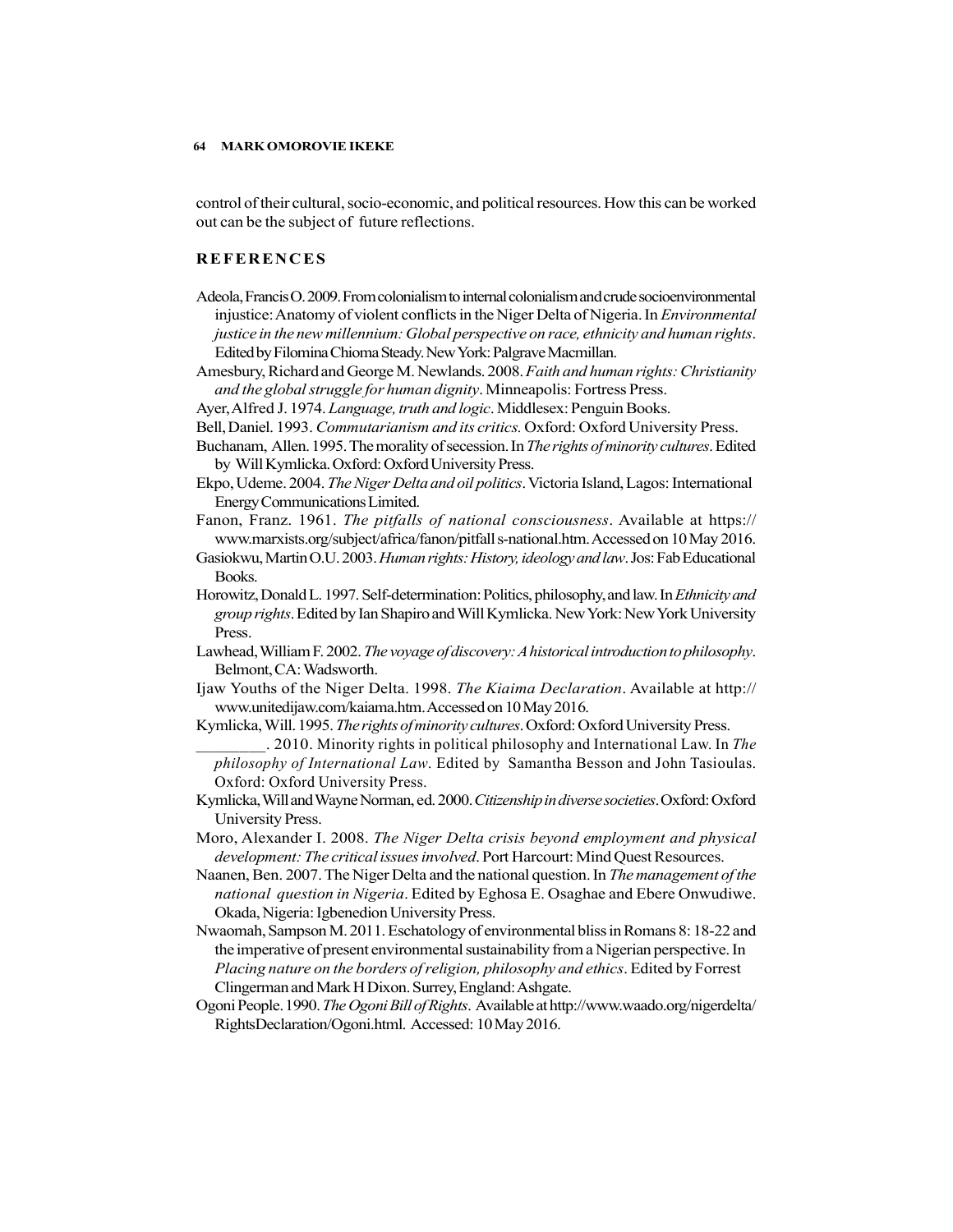control of their cultural, socio-economic, and political resources. How this can be worked out can be the subject of future reflections.

- MARK OMOROVIE IKEKE<br>
control of their cultural, socio-economic, and political resources. How this can be worked<br>
out can be the subject of future reflections.<br>
REFERENCES<br>
Adeola, Francis O. 2009. From colonialism to inter Adeola, Francis O. 2009. From colonialism to internal colonialism and crude socioenvironmental injustice: Anatomy of violent conflicts in the Niger Delta of Nigeria. In *Environmental* justice in the new millennium: Global perspective on race, ethnicity and human rights. Edited by Filomina Chioma Steady. New York: Palgrave Macmillan.
- Amesbury, Richard and George M. Newlands. 2008. Faith and human rights: Christianity and the global struggle for human dignity. Minneapolis: Fortress Press.
- Ayer, Alfred J. 1974. Language, truth and logic. Middlesex: Penguin Books.
- Bell, Daniel. 1993. Commutarianism and its critics. Oxford: Oxford University Press.
- Buchanam, Allen. 1995. The morality of secession. In The rights of minority cultures. Edited by Will Kymlicka. Oxford: Oxford University Press.
- Ekpo, Udeme. 2004. The Niger Delta and oil politics. Victoria Island, Lagos: International Energy Communications Limited.
- Fanon, Franz. 1961. The pitfalls of national consciousness. Available at https:// www.marxists.org/subject/africa/fanon/pitfall s-national.htm. Accessed on 10 May 2016.
- Gasiokwu, Martin O.U. 2003. *Human rights: History, ideology and law*. Jos: Fab Educational Books.
- Horowitz, Donald L. 1997. Self-determination: Politics, philosophy, and law. In Ethnicity and group rights. Edited by Ian Shapiro and Will Kymlicka. New York: New York University Press.
- Lawhead, William F. 2002. The voyage of discovery: A historical introduction to philosophy. Belmont, CA: Wadsworth.
- Ijaw Youths of the Niger Delta. 1998. The Kiaima Declaration. Available at http:// www.unitedijaw.com/kaiama.htm. Accessed on 10 May 2016.
- Kymlicka, Will. 1995. The rights of minority cultures. Oxford: Oxford University Press.
- . 2010. Minority rights in political philosophy and International Law. In The philosophy of International Law. Edited by Samantha Besson and John Tasioulas. Oxford: Oxford University Press.
- Kymlicka, Will and Wayne Norman, ed. 2000. Citizenship in diverse societies. Oxford: Oxford University Press.
- Moro, Alexander I. 2008. The Niger Delta crisis beyond employment and physical development: The critical issues involved. Port Harcourt: Mind Quest Resources.
- Naanen, Ben. 2007. The Niger Delta and the national question. In The management of the national question in Nigeria. Edited by Eghosa E. Osaghae and Ebere Onwudiwe. Okada, Nigeria: Igbenedion University Press.
- Nwaomah, Sampson M. 2011. Eschatology of environmental bliss in Romans 8: 18-22 and the imperative of present environmental sustainability from a Nigerian perspective. In Placing nature on the borders of religion, philosophy and ethics. Edited by Forrest Clingerman and Mark H Dixon. Surrey, England: Ashgate.
- Ogoni People. 1990. The Ogoni Bill of Rights. Available at http://www.waado.org/nigerdelta/ RightsDeclaration/Ogoni.html. Accessed: 10 May 2016.